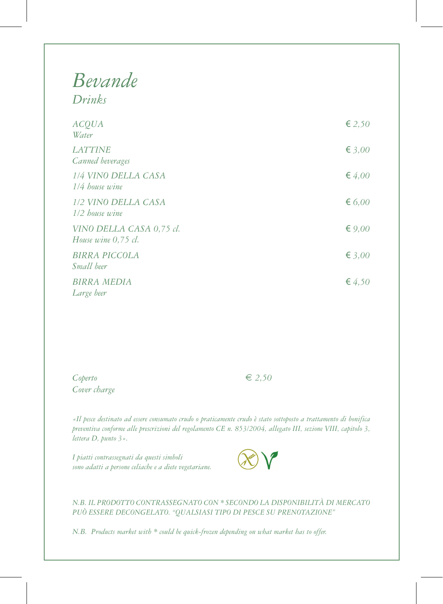## *Bevande Drinks*

| <b>ACQUA</b><br>Water                           | € 2,50   |
|-------------------------------------------------|----------|
| <b>LATTINE</b><br>Canned beverages              | € 3,00   |
| 1/4 VINO DELLA CASA<br>1/4 house wine           | € 4,00   |
| 1/2 VINO DELLA CASA<br>1/2 house wine           | € 6,00   |
| VINO DELLA CASA 0,75 cl.<br>House wine 0,75 cl. | € $9,00$ |
| <b>BIRRA PICCOLA</b><br><i>Small</i> beer       | € 3,00   |
| <b>BIRRA MEDIA</b><br>Large beer                | € $4,50$ |

 $C\phi$  *Coperto*  $\epsilon$  2,50 *Cover charge*

*«Il pesce destinato ad essere consumato crudo o praticamente crudo è stato sottoposto a trattamento di bonifica preventiva conforme alle prescrizioni del regolamento CE n. 853/2004, allegato III, sezione VIII, capitolo 3, lettera D, punto 3».*

*I piatti contrassegnati da questi simboli sono adatti a persone celiache e a diete vegetariane.*



*N.B. IL PRODOTTO CONTRASSEGNATO CON \* SECONDO LA DISPONIBILITÀ DI MERCATO PUÒ ESSERE DECONGELATO. "QUALSIASI TIPO DI PESCE SU PRENOTAZIONE"*

*N.B. Products market with \* could be quick-frozen depending on what market has to offer.*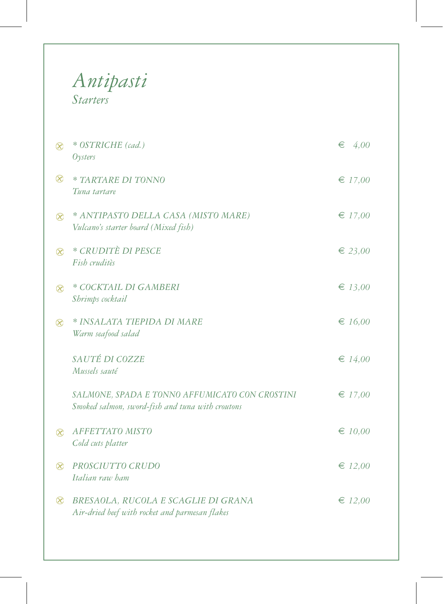## *Antipasti Starters*

| $\otimes$   | * OSTRICHE (cad.)<br>Oysters                                                                       | €<br>4,00   |
|-------------|----------------------------------------------------------------------------------------------------|-------------|
| $\otimes$   | * TARTARE DI TONNO<br>Tuna tartare                                                                 | € 17,00     |
| $\circledR$ | * ANTIPASTO DELLA CASA (MISTO MARE)<br>Vulcano's starter board (Mixed fish)                        | $\in$ 17,00 |
| $\otimes$   | * CRUDITÈ DI PESCE<br>Fish cruditès                                                                | € 23,00     |
| $\otimes$   | * COCKTAIL DI GAMBERI<br>Shrimps cocktail                                                          | € 13,00     |
| $\otimes$   | * INSALATA TIEPIDA DI MARE<br>Warm seafood salad                                                   | € $16,00$   |
|             | SAUTÉ DI COZZE<br>Mussels sauté                                                                    | € $14,00$   |
|             | SALMONE, SPADA E TONNO AFFUMICATO CON CROSTINI<br>Smoked salmon, sword-fish and tuna with croutons | $\in$ 17,00 |
| $\infty$    | <b>AFFETTATO MISTO</b><br>Cold cuts platter                                                        | $\in 10,00$ |
| $\otimes$   | PROSCIUTTO CRUDO<br>Italian raw ham                                                                | $\in$ 12,00 |
| $\otimes$   | BRESAOLA, RUCOLA E SCAGLIE DI GRANA<br>Air-dried beef with rocket and parmesan flakes              | $\in$ 12,00 |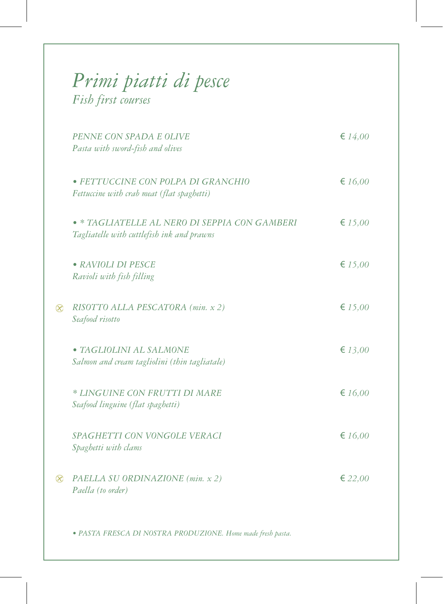## *Primi piatti di pesce Fish first courses*

|           | PENNE CON SPADA E OLIVE<br>Pasta with sword-fish and olives                                 | $\in 14,00$      |
|-----------|---------------------------------------------------------------------------------------------|------------------|
|           | · FETTUCCINE CON POLPA DI GRANCHIO<br>Fettuccine with crab meat (flat spaghetti)            | $\epsilon$ 16,00 |
|           | • * TAGLIATELLE AL NERO DI SEPPIA CON GAMBERI<br>Tagliatelle with cuttlefish ink and prawns | £ 15,00          |
|           | • RAVIOLI DI PESCE<br>Ravioli with fish filling                                             | £ 15,00          |
| $\otimes$ | RISOTTO ALLA PESCATORA (min. x 2)<br>Seafood risotto                                        | £ 15,00          |
|           | · TAGLIOLINI AL SALMONE<br>Salmon and cream tagliolini (thin tagliatale)                    | € $13,00$        |
|           | * LINGUINE CON FRUTTI DI MARE<br>Seafood linguine (flat spaghetti)                          | $\epsilon$ 16,00 |
|           | SPAGHETTI CON VONGOLE VERACI<br>Spaghetti with clams                                        | $\epsilon$ 16,00 |
| $\otimes$ | PAELLA SU ORDINAZIONE (min. x 2)<br>Paella (to order)                                       | £22,00           |
|           | · PASTA FRESCA DI NOSTRA PRODUZIONE. Home made fresh pasta.                                 |                  |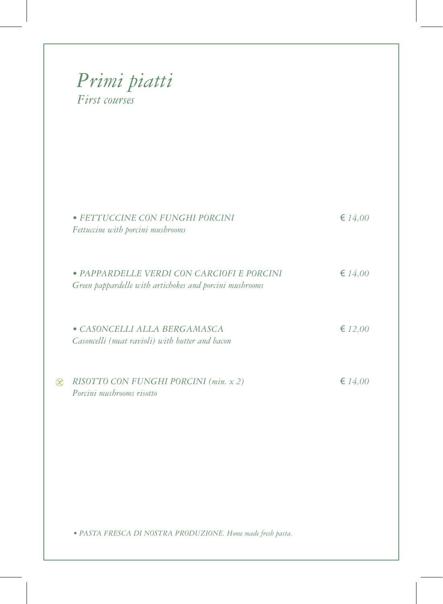| $\in 14,00$<br>· FETTUCCINE CON FUNGHI PORCINI                                                                       |
|----------------------------------------------------------------------------------------------------------------------|
| $\in 14,00$<br>· PAPPARDELLE VERDI CON CARCIOFI E PORCINI<br>Green pappardelle with artichokes and porcini mushrooms |
| $\in$ 12,00<br>Casoncelli (meat ravioli) with butter and bacon                                                       |
| RISOTTO CON FUNGHI PORCINI (min. x 2)<br>$\in 14,00$                                                                 |
|                                                                                                                      |
| · PASTA FRESCA DI NOSTRA PRODUZIONE. Home made fresh pasta.                                                          |
|                                                                                                                      |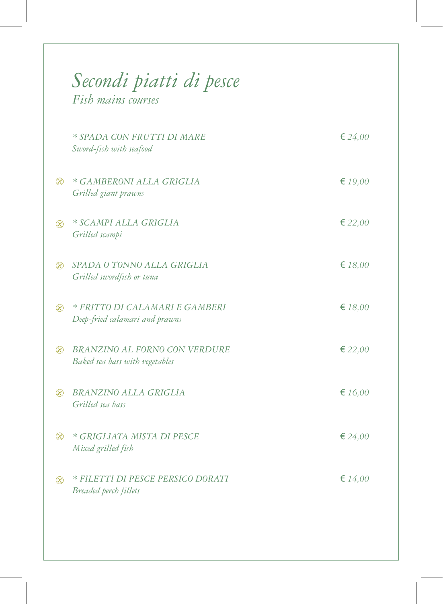|             | Secondi piatti di pesce<br>Fish mains courses                          |                  |
|-------------|------------------------------------------------------------------------|------------------|
|             | * SPADA CON FRUTTI DI MARE<br>Sword-fish with seafood                  | € 24,00          |
| $\infty$    | * GAMBERONI ALLA GRIGLIA<br>Grilled giant prawns                       | € $19,00$        |
| $\circledR$ | * SCAMPI ALLA GRIGLIA<br>Grilled scampi                                | $\epsilon$ 22,00 |
| $\infty$    | SPADA O TONNO ALLA GRIGLIA<br>Grilled swordfish or tuna                | £ 18,00          |
| $\infty$    | * FRITTO DI CALAMARI E GAMBERI<br>Deep-fried calamari and prawns       | £ 18,00          |
| $\infty$    | <b>BRANZINO AL FORNO CON VERDURE</b><br>Baked sea bass with vegetables | $\epsilon$ 22,00 |
| $\infty$    | <b>BRANZINO ALLA GRIGLIA</b><br>Grilled sea bass                       | $\epsilon$ 16,00 |
| $\circledR$ | * GRIGLIATA MISTA DI PESCE<br>Mixed grilled fish                       | € 24,00          |
| $\otimes$   | * FILETTI DI PESCE PERSICO DORATI<br>Breaded perch fillets             | $\in 14,00$      |
|             |                                                                        |                  |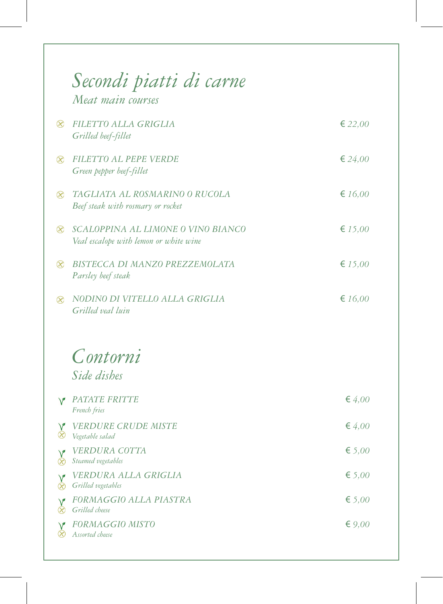|                        | Secondi piatti di carne<br>Meat main courses                                 |                  |
|------------------------|------------------------------------------------------------------------------|------------------|
| $\infty$               | FILETTO ALLA GRIGLIA<br>Grilled beef-fillet                                  | € 22,00          |
| $\circledR$            | FILETTO AL PEPE VERDE<br>Green pepper beef-fillet                            | € 24,00          |
| $\infty$               | TAGLIATA AL ROSMARINO O RUCOLA<br>Beef steak with rosmary or rocket          | $\epsilon$ 16,00 |
| $\circledR$            | SCALOPPINA AL LIMONE O VINO BIANCO<br>Veal escalope with lemon or white wine | € $15,00$        |
| $\circledR$            | BISTECCA DI MANZO PREZZEMOLATA<br>Parsley beef steak                         | € $15,00$        |
| $\infty$               | NODINO DI VITELLO ALLA GRIGLIA<br>Grilled veal luin                          | $\epsilon$ 16,00 |
|                        | Contorni                                                                     |                  |
|                        | Side dishes                                                                  |                  |
|                        | PATATE FRITTE<br>French fries                                                | € $4,00$         |
|                        | <b>VERDURE CRUDE MISTE</b><br>Vegetable salad                                | € $4,00$         |
| Œ                      | VERDURA COTTA<br>Steamed vegetables                                          | € 5,00           |
| $\sqrt{2}$<br>$\infty$ | VERDURA ALLA GRIGLIA<br>Grilled vegetables                                   | € 5,00           |
| œ                      | FORMAGGIO ALLA PIASTRA<br>Grilled cheese                                     | € 5,00           |
|                        | <b>FORMAGGIO MISTO</b><br>Assorted cheese                                    | € $9,00$         |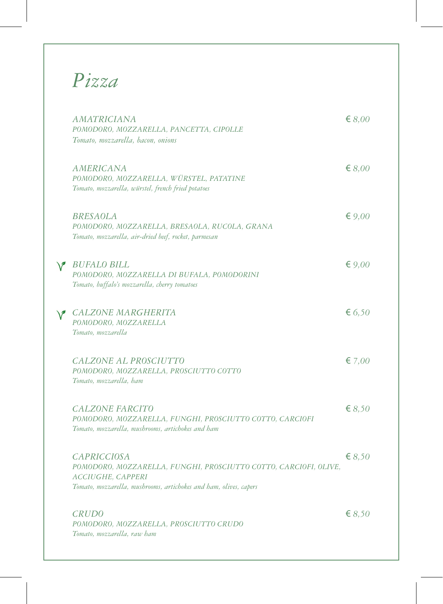## *Pizza*

 $\overline{\phantom{0}}$ 

|               | <b>AMATRICIANA</b><br>POMODORO, MOZZARELLA, PANCETTA, CIPOLLE<br>Tomato, mozzarella, bacon, onions                                                                                      | $\epsilon$ 8,00 |
|---------------|-----------------------------------------------------------------------------------------------------------------------------------------------------------------------------------------|-----------------|
|               | <b>AMERICANA</b><br>POMODORO, MOZZARELLA, WÜRSTEL, PATATINE<br>Tomato, mozzarella, würstel, french fried potatoes                                                                       | $\epsilon$ 8,00 |
|               | <b>BRESAOLA</b><br>POMODORO, MOZZARELLA, BRESAOLA, RUCOLA, GRANA<br>Tomato, mozzarella, air-dried beef, rocket, parmesan                                                                | $\epsilon$ 9,00 |
| V             | <b>BUFALO BILL</b><br>POMODORO, MOZZARELLA DI BUFALA, POMODORINI<br>Tomato, buffalo's mozzarella, cherry tomatoes                                                                       | $\epsilon$ 9,00 |
| $\mathscr{S}$ | CALZONE MARGHERITA<br>POMODORO, MOZZARELLA<br>Tomato, mozzarella                                                                                                                        | € 6,50          |
|               | CALZONE AL PROSCIUTTO<br>POMODORO, MOZZARELLA, PROSCIUTTO COTTO<br>Tomato, mozzarella, ham                                                                                              | € 7,00          |
|               | <b>CALZONE FARCITO</b><br>POMODORO, MOZZARELLA, FUNGHI, PROSCIUTTO COTTO, CARCIOFI<br>Tomato, mozzarella, mushrooms, artichokes and ham                                                 | $\epsilon$ 8,50 |
|               | <b>CAPRICCIOSA</b><br>POMODORO, MOZZARELLA, FUNGHI, PROSCIUTTO COTTO, CARCIOFI, OLIVE,<br><i>ACCIUGHE, CAPPERI</i><br>Tomato, mozzarella, mushrooms, artichokes and ham, olives, capers | $\epsilon$ 8,50 |
|               | <b>CRUDO</b><br>POMODORO, MOZZARELLA, PROSCIUTTO CRUDO<br>Tomato, mozzarella, raw ham                                                                                                   | $\epsilon$ 8,50 |
|               |                                                                                                                                                                                         |                 |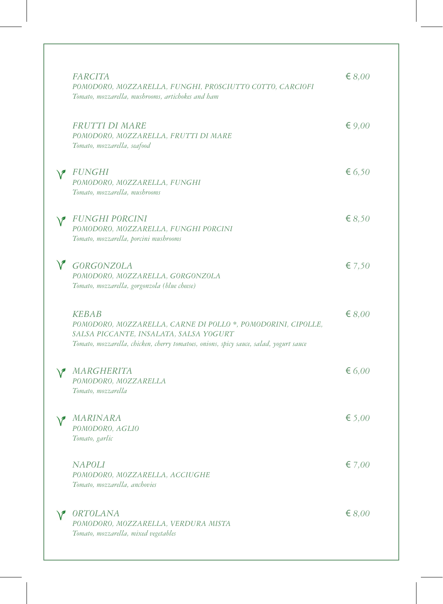|        | <b>FARCITA</b><br>POMODORO, MOZZARELLA, FUNGHI, PROSCIUTTO COTTO, CARCIOFI<br>Tomato, mozzarella, mushrooms, artichokes and ham                                                                                  | $\epsilon$ 8,00 |
|--------|------------------------------------------------------------------------------------------------------------------------------------------------------------------------------------------------------------------|-----------------|
|        | <b>FRUTTI DI MARE</b><br>POMODORO, MOZZARELLA, FRUTTI DI MARE<br>Tomato, mozzarella, seafood                                                                                                                     | € $9,00$        |
|        | <b>FUNGHI</b><br>POMODORO, MOZZARELLA, FUNGHI<br>Tomato, mozzarella, mushrooms                                                                                                                                   | € 6,50          |
|        | <b>FUNGHI PORCINI</b><br>POMODORO, MOZZARELLA, FUNGHI PORCINI<br>Tomato, mozzarella, porcini mushrooms                                                                                                           | € $8,50$        |
| $\vee$ | <b>GORGONZOLA</b><br>POMODORO, MOZZARELLA, GORGONZOLA<br>Tomato, mozzarella, gorgonzola (blue cheese)                                                                                                            | $\xi$ 7,50      |
|        | <b>KEBAB</b><br>POMODORO, MOZZARELLA, CARNE DI POLLO *, POMODORINI, CIPOLLE,<br>SALSA PICCANTE, INSALATA, SALSA YOGURT<br>Tomato, mozzarella, chicken, cherry tomatoes, onions, spicy sauce, salad, yogurt sauce | € $8,00$        |
|        | MARGHERITA<br>POMODORO, MOZZARELLA<br>Tomato, mozzarella                                                                                                                                                         | € 6,00          |
|        | V MARINARA<br>POMODORO, AGLIO<br>Tomato, garlic                                                                                                                                                                  | € 5,00          |
|        | <b>NAPOLI</b><br>POMODORO, MOZZARELLA, ACCIUGHE<br>Tomato, mozzarella, anchovies                                                                                                                                 | $\epsilon$ 7,00 |
|        | <b>ORTOLANA</b><br>POMODORO, MOZZARELLA, VERDURA MISTA<br>Tomato, mozzarella, mixed vegetables                                                                                                                   | € $8,00$        |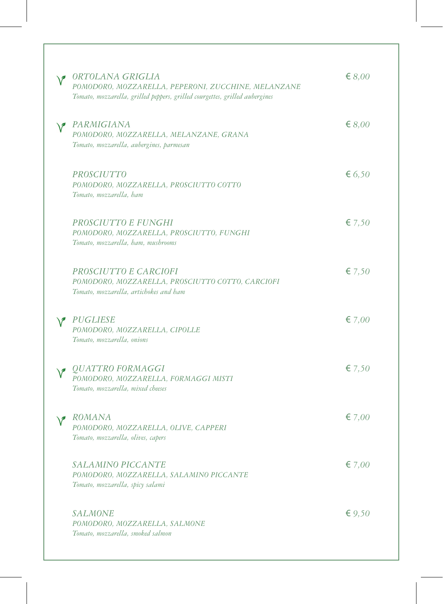| ORTOLANA GRIGLIA<br>POMODORO, MOZZARELLA, PEPERONI, ZUCCHINE, MELANZANE<br>Tomato, mozzarella, grilled peppers, grilled courgettes, grilled aubergines | $\epsilon$ 8,00 |
|--------------------------------------------------------------------------------------------------------------------------------------------------------|-----------------|
| PARMIGIANA<br>POMODORO, MOZZARELLA, MELANZANE, GRANA<br>Tomato, mozzarella, aubergines, parmesan                                                       | $\epsilon$ 8,00 |
| <i>PROSCIUTTO</i><br>POMODORO, MOZZARELLA, PROSCIUTTO COTTO<br>Tomato, mozzarella, ham                                                                 | € 6,50          |
| PROSCIUTTO E FUNGHI<br>POMODORO, MOZZARELLA, PROSCIUTTO, FUNGHI<br>Tomato, mozzarella, ham, mushrooms                                                  | € 7,50          |
| PROSCIUTTO E CARCIOFI<br>POMODORO, MOZZARELLA, PROSCIUTTO COTTO, CARCIOFI<br>Tomato, mozzarella, artichokes and ham                                    | € 7,50          |
| PUGLIESE<br>POMODORO, MOZZARELLA, CIPOLLE<br>Tomato, mozzarella, onions                                                                                | € 7,00          |
| <i>QUATTRO FORMAGGI</i><br>POMODORO, MOZZARELLA, FORMAGGI MISTI<br>Tomato, mozzarella, mixed cheeses                                                   | € 7,50          |
| ROMANA<br>POMODORO, MOZZARELLA, OLIVE, CAPPERI<br>Tomato, mozzarella, olives, capers                                                                   | € 7,00          |
| <i>SALAMINO PICCANTE</i><br>POMODORO, MOZZARELLA, SALAMINO PICCANTE<br>Tomato, mozzarella, spicy salami                                                | € 7,00          |
| <b>SALMONE</b><br>POMODORO, MOZZARELLA, SALMONE<br>Tomato, mozzarella, smoked salmon                                                                   | € $9,50$        |